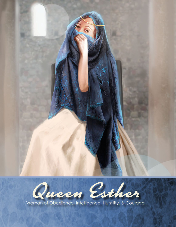



Woman of Obedience, Intelligence, Humility, & Courage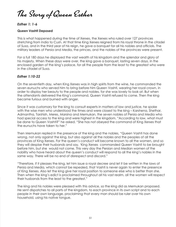The Story of Queen Esther

### *Esther 1: 1-6*

#### **Queen Vashti Deposed**

This is what happened during the time of Xerxes, the Xerxes who ruled over 127 provinces stretching from India to Cush. At that time King Xerxes reigned from his royal throne in the citadel of Susa, and in the third year of his reign, he gave a banquet for all his nobles and officials. The military leaders of Persia and Media, the princes, and the nobles of the provinces were present.

For a full 180 days he displayed the vast wealth of his kingdom and the splendor and glory of his majesty. When these days were over, the king gave a banquet, lasting seven days, in the enclosed garden of the king's palace, for all the people from the least to the greatest who were in the citadel of Susa.

#### *Esther 1:10-22*

On the seventieth day, when King Xerxes was in high spirits from the wine, he commanded the seven eunuchs who served him to bring before him Queen Vashti, wearing her royal crown, in order to display her beauty to the people and nobles, for she was lovely to look at. But when the attendants delivered the King's command, Queen Vashti refused to come. Then the king became furious and burned with anger.

Since it was customary for the king to consult experts in matters of law and justice, he spoke with the wise men who understood the times and were closest to the king – Karshena, Shethar, Admantha, Tarshish, Meres, Marsina and Memukan, the seven nobles of Persia and Media who had special access to the king and were highest in the kingdom. "According to law, what must be done to Queen Vashti?" he asked. "She has not obeyed the command of King Xerxes that the eunuchs have taken to her."

Then Memukan replied in the presence of the king and the nobles, "Queen Vashti has done wrong, not only against the king, but also against all the nobles and the peoples of all the provinces of King Xerxes. For the queen's conduct will become known to all the women, and so they will despise their husbands and say, 'King Xerxes commanded Queen Vashti to be brought before him, but she would not come. This very day the Persian and Median women of the nobility who have heard about the queen's conduct will respond to all the king's nobles in the same way. There will be no end of disrespect and discord."

"Therefore, if it pleases the king, let him issue a royal decree and let it be written in the laws of Persia and Media, which cannot be repealed, that Vashti is never again to enter the presence of King Xerxes. Also let the king give her royal position to someone else who is better than she. Then when the king's edict is proclaimed throughout all his vast realm, all the women will respect their husbands from the least to the greatest."

The king and his nobles were pleased with this advice, so the king did as Memukan proposed. He sent dispatches to all parts of the kingdom, to each province in its own script and to each people in their own language, proclaiming that every man should be ruler over his own household, using his native tongue.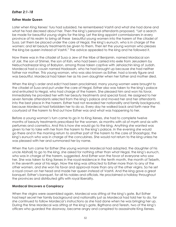## *Esther 2:1-18*

#### **Esther Made Queen**

Later when King Xerxes' fury had subsided, he remembered Vashti and what she had done and what he had decreed about her. Then the king's personal attendants proposed, "Let a search be made for beautiful young virgins for the king. Let the king appoint commissioners in every province of his realm to bring all these beautiful young women into the harem of the citadel of Susa. Let them be placed under the care of Hegai, the king's eunuch, who is in charge of the women; and let beauty treatments be given to them. Then let the young woman who pleases the king be queen instead of Vashti." The advice appealed to the king and he followed it.

Now there was in the citadel of Susa a Jew of the tribe of Benjamin, named Mordacai son of Jair, the son of Shimei, the son of Kish, who had been carried into exile from Jerusalem by Nebuchadnezzar king of Babylon, among those taken captive with Jehoiachin king of Judah. Mordecai had a cousin named Hadassah, who he had brought up because she had neither father nor mother. This young woman, who was also known as Esther, had a lovely figure and was beautiful. Mordecai had taken her as his own daughter when her father and mother died.

When the king's order and edict had been proclaimed, many young women were brought to the citadel of Susa and put under the care of Hegai. Esther also was taken to the king's palace and entrusted to Hegai, who had charge of the harem. She pleased him and won his favor. Immediately he provided her with her beauty treatments and special food. He assigned to her seven female attendants selected from the king's palace and moved her and her attendants into the best place in the harem. Esther had not revealed her nationality and family background, because Mordecai had forbidden her to do so. Every day he walked back and forth near the courtyard of the harem to find out how Esther was and what was happening to her.

Before a young woman's turn came to go in to King Xerxes, she had to complete twelve months of beauty treatments prescribed for the women, six months with oil of myrrh and six with perfumes and cosmetics. And this is how she would go to the king. Anything she wanted was given to her to take with her from the harem to the king's palace. In the evening she would go there and in the morning return to another part of the harem to the care of Shaashgaz, the king's eunuch who was in charge of the concubines. She would not return to the king unless he was pleased with her and summoned her by name.

When the turn came for Esther (the young woman Mordecai had adopted, the daughter of his uncle Abihail) to go to the king, she asked for nothing other than what Hegai, the king's eunuch, who was in charge of the harem, suggested. And Esther won the favor of everyone who saw her. She was taken to King Xerxes in the royal residence in the tenth month, the month of Tebeth, in the seventh year of his reign. Now the king was attracted to Esther more than to any of the other women, and she won his favor and approval more than any of the other virgins. So he set a royal crown on her head and made her queen instead of Vashti. And the king gave a great banquet, Esther's banquet, for all his nobles and officials. He proclaimed a holiday throughout the provinces and distributed gifts with royal liberality.

#### **Mordacai Uncovers a Conspiracy**

When the virgins were assembled again, Mordecai was sitting at the king's gate. But Esther had kept secret her family background and nationality just as Mordecai had told her to do, for she continued to follow Mordecai's instructions as she had done when he was bringing her up. During the time Mordecai was sitting at the king's gate, Bigthana and Teresh, two of the king's officers who guarded the doorway, became angry and conspired to assassinate King Xerxes.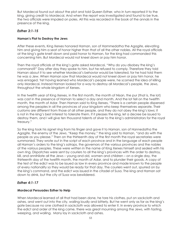But Mordecai found out about the plot and told Queen Esther, who in turn reported it to the king, giving credit to Mordecai. And when the report was investigated and found to be true, the two officials were impaled on poles. All this was recorded in the book of the annals in the presence of the king.

## *Esther 3:1-15*

## **Haman's Plot to Destroy the Jews**

After these events, King Xerxes honored Haman, son of Hammedatha the Agagite, elevating him and giving him a seat of honor higher than that of all the other nobles. All the royal officials at the king's gate knelt down and paid honor to Haman, for the king had commanded this concerning him. But Mordecai would not kneel down or pay him honor.

Then the royal officials at the king's gate asked Mordecai, "Why do you disobey the king's command?" Day after day they spoke to him, but he refused to comply. Therefore they told Haman about it to see whether Mordecai's behavior would be tolerated, for he had told them he was a Jew. When Haman saw that Mordecai would not kneel down or pay him honor, he was enraged. Yet having learned who Mordecai's people were, he scorned the idea of killing only Mordecai. Instead Haman looked for a way to destroy all Mordecai's people, the Jews, throughout the whole kingdom of Xerxes.

In the twelfth year of King Xerxes, in the first month, the month of Nisan, the pur (that is, the lot) was cast in the presence of Haman to select a day and month. And the lot fell on the twelfth month, the month of Adar. Then Haman said to King Xerxes, "There is a certain people dispersed among the peoples in all the provinces of your kingdom who keep themselves separate. Their customs are different from those of all other people, and they do not obey the king's laws; it is not in the king's best interest to tolerate them. If it pleases the king, let a decree be issued to destroy them, and I will give ten thousand talents of silver to the king's administrators for the royal treasury."

So the king took his signet ring from his finger and gave it to Haman, son of Hannedatha the Agagite, the enemy of the Jews. "Keep the money," the king said to Haman, "and do with the people as you please." Then on the thirteenth day of the first month the royal secretaries were summoned. They wrote out in the script of each province and in the language of each people all Haman's orders to the king's satraps, the governors of the various provinces and the nobles of the various peoples. These were written in the name of King Xerxes himself and sealed with his own ring. Dispatches were sent by couriers to all the king's provinces with the order to destroy, kill, and annihilate all the Jews – young and old, women and children – on a single day, the thirteenth day of the twelfth month, the month of Adar, and to plunder their goods. A copy of the test of the edict was to be issued as law in every province and made known to the people of every nationality so they would be ready for that day. The couriers went out, spurred on by the king's command, and the edict was issued in the citadel of Susa. The king and Haman sat down to drink, but the city of Susa was bewildered.

## *Esther 4:1-17*

#### **Mordecai Persuades Esther to Help**

When Mordecai learned of all that had been done, he tore his clothes, put on sackcloth and ashes, and went out into the city, wailing loudly and bitterly. But he went only as far as the king's gate because no one clothed in sackcloth was allowed to enter it. In every province to which the edict and order of the king came, there was great mourning among the Jews, with fasting, weeping, and wailing. Many lay in sackcloth and ashes.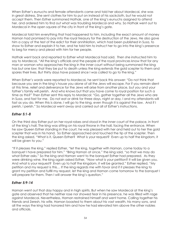When Esther's eunuchs and female attendants came and told her about Mordecai, she was in great distress. She sent clothes for him to put on instead of his sackcloth, but he would not accept them. Then Esther summoned Hathak, one of the king's eunuchs assigned to attend her, and ordered him to find out what was troubling Mordecai and why. So Hathak went out to Mordecai in the open square of the city in front of the king's gate.

Mordecai told him everything that had happened to him, including the exact amount of money Haman had promised to pay into the royal treasury for the destruction of the Jews. He also gave him a copy of the test of the edict for their annihilation, which had been published in Susa, to show to Esther and explain it to her, and he told him to instruct her to go into the king's presence to beg for mercy and plead with him for her people.

Hathak went back and reported to Esther what Mordecai had said. Then she instructed him to say to Mordecai, "All the king's officials and the people of the royal provinces know that for any man or woman who approaches the king in the inner court without being summoned the king has but one law; that they be put to death unless the king extends the gold scepter to them and spares their lives. But thirty days have passed since I was called to go to the king."

When Esther's words were reported to Mordecai, he sent back this answer: "Do not think that because you are in the king's house you alone of all the Jews will escape. For if you remain silent at this time, relief and deliverance for the Jews will arise from another place, but you and your father's family will perish. And who knows but that you have come to royal position for such a time as this?" Then Esther sent this reply to Mordecai: "Go, gather together all the Jews who are in Susa, and fast for me. Do not eat or drink for three days, night or day. I and my attendants will fast as you do. When this is done, I will go to the king, even though it is against the law. And if I perish, I perish." So Mordecai went away and carried out all of Esther's instructions.

## *Esther 5:1-8*

On the third day Esther put on her royal robes and stood in the inner court of the palace, in front of the king's hall. The king was sitting on his royal throne in the hall, facing the entrance. When he saw Queen Esther standing in the court, he was pleased with her and held out to her the gold scepter that was in his hand. So Esther approached and touched the tip of the scepter. Then the king asked, "What is it, Queen Esther? What is your request? Even up to half the kingdom, it will be given to you."

"If it pleases the king," replied Esther, "let the king, together with Haman, come today to a banquet I have prepared for him." "Bring Haman at once," the king said, "so that we may do what Esther asks." So the king and Haman went to the banquet Esther had prepared. As they were drinking wine, the king again asked Esther, "Now what is your petition? It will be given you. And what is your request? Even up to half the kingdom, it will be granted." Esther replied, "My petition and my request is this… If the king regards me with favor and if it pleases the king to grant my petition and fulfill my request, let the king and Haman come tomorrow to the banquet I will prepare for them. Then I will answer the king's question."

## *Esther 5:9-14*

Haman went out that day happy and in high spirits. But when he saw Mordecai at the king's gate and observed that he neither rose nor showed fear in his presence, he was filled with rage against Mordecai. Nevertheless, Haman restrained himself and went home. Calling together his friends and Zeresh, his wife, Haman boasted to them about his vast wealth, his many sons, and all the ways the king had honored him and how he had elevated him above the other nobles and officials.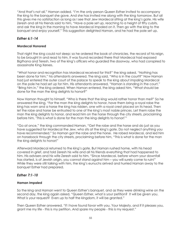"And that's not all," Haman added. "I'm the only person Queen Esther invited to accompany the king to the banquet she gave. And she has invited me along with the king tomorrow. But all this gives me no satisfaction as long as I see that Jew Mordecai sitting at the king's gate. His wife Zeresh and all his friends said to him, "Have a pole set up, reaching to a height of fifty cubits, and ask the king in the morning to have Mordecai impaled on it. Then go with the king to the banquet and enjoy yourself." This suggestion delighted Haman, and he had the pole set up.

## *Esther 6:1-14*

## **Mordecai Honored**

That night the king could not sleep; so he ordered the book of chronicles, the record of his reign, to be brought in and read to him. It was found recorded there that Mordecai had exposed Bigthana and Teresh, two of the king's officers who guarded the doorway, who had conspired to assassinate King Xerxes.

"What honor and recognition has Mordecai received for this?" the king asked. "Nothing has been done for him," his attendants answered. The king said, "Who is in the court?" Now Haman had just entered the outer court of the palace to speak to the king about impaling Mordecai on the pole he had set up for him. His attendants answered, "Haman is standing in the court." "Bring him in," the king ordered. When Haman entered, the king asked him, "What should be done for the man the king delights to honor?"

Now Haman thought to himself, "Who is there that the king would rather honor than me?" So he answered the king, "For the man the king delights to honor, have them bring a royal robe the king has worn and a horse the king has ridden, one with a royal crest placed on its head. Then let the robe and horse be entrusted to one of the king's most noble princes. Let them robe the man the king delights to honor, and lead him on the horse through the city streets, proclaiming before him, 'This is what is done for the man the king delights to honor!'"

"Go at once," the king commanded Haman. "Get the robe and the horse and do just as you have suggested for Mordecai the Jew, who sits at the king's gate. Do not neglect anything you have recommended." So Haman got the robe and the horse. He robed Mordecai, and led him on horseback through the city streets, proclaiming before him, "This is what is done for the man the king delights to honor!"

Afterward Mordecai returned to the king's gate. But Haman rushed home, with his head covered in grief, and told Zeresh his wife and all his friends everything that had happened to him. His advisers and his wife Zeresh said to him, "Since Mordecai, before whom your downfall has started, is of Jewish origin, you cannot stand against him – you will surely come to ruin!" While they were still talking with him, the king's eunuchs arrived and hurried Haman away to the banquet Esther had prepared.

## *Esther 7:1-10*

## **Haman Impaled**

So the king and Haman went to Queen Esther's banquet, and as they were drinking wine on the second day, the king again asked, "Queen Esther, what is your petition? It will be given you. What is your request? Even up to half the kingdom, it will be granted."

Then Queen Esther answered, "If I have found favor with you, Your Majesty, and if it pleases you, grant me my life - this is my petition. And spare my people - this is my request."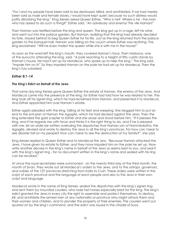"For I and my people have been sold to be destroyed, killed, and annihilated. If we had merely been sold as male and female slaves, I would have kept quiet, because no such distress would justify disturbing the king." King Xerxes asked Queen Esther, "Who is he? Where is he - the man who has dared to do such a thing?" Esther said, "An adversary and enemy! This vile Haman!"

Then Haman was terrified before the king and queen. The king got up in a rage, left his wine, and went out into the palace garden. But Haman, realizing that the king had already decided his fate, stayed behind to beg Queen Esther for his life. Just as the king returned from the palace garden to the banquet hall, Haman was falling on the couch where Esther was reclining. The king exclaimed, "Will he even molest the queen while she is with me in the house!"

As soon as the word left the king's mouth, they covered Haman's face. Then Harbona, one of the eunuchs attending the king, said, "A pole reaching to a height of fifty cubits stands by Haman's house. He had it set up for Mordecai, who spoke up to help the king." The king said, "Impale him on it!" So they impaled Haman on the pole he had set up for Mordecai. Then the king's fury subsided.

## *Esther 8:1-14*

## **The King's Edict on Behalf of the Jews**

That same day king Xerxes gave Queen Esther the estate of Haman, the enemy of the Jews. And Mordecai came into the presence of the king, for Esther had told how he was related to her. The king took off his signet ring, which he had reclaimed from Haman, and presented it to Mordecai. And Esther appointed him over Haman's estate.

Esther again pleaded with the king, falling at his feet and weeping. She begged him to put an end to the evil plan of Haman the Agagite, which he had devised against the Jews. Then the king extended the gold scepter to Esther and she arose and stood before him. "If it pleases the king, and if he regards me with favor and thinks it is the right thing to do, and if he is pleased with me, let an order be written overruling the dispatches that Haman son of Hammedatha, the Agagite, devised and wrote to destroy the Jews in all the king's provinces. For how can I bear to see disaster fall on my people? How can I bear to see the destruction of my family?", she said.

King Xerxes replied to Queen Esther and to Mordecai the Jew, "Because Haman attacked the Jews, I have given his estate to Esther, and they have impaled him on the pole he set up. Now write another decree in the king's name in behalf of the Jews as seems best to you, and seal it with the king's signet ring - for no document written in the king's name and sealed with his ring can be revoked."

At once the royal secretaries were summoned - on the twenty-third day of the third month, the month of Sivan. They wrote out all Mordecai's orders to the Jews, and to the satraps, governors, and nobles of the 127 provinces stretching from India to Cush. These orders were written in the script of each province and the language of each people and also to the Jews in their own script and language.

Mordecai wrote in the name of King Xerxes, sealed the dispatches with the king's signet ring, and sent them by mounted couriers, who rode fast horses especially bred for the king. The king's edict granted the Jews in every city the right to assemble and protect themselves, to destroy, kill, and annihilate the armed men of any nationality or province who might attack them and their women and children, and to plunder the property of their enemies. The couriers went out, spurred on by the king's command, and the edict was issued in the citadel of Susa.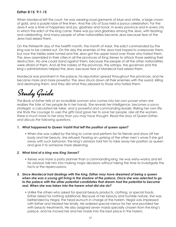## *Esther 8:15, 9:1-15*

When Mordecai left the court, he was wearing royal garments of blue and white, a large crown of gold, and a purple robe of fine linen. And the city of Susa held a joyous celebration. For the Jews it was a time of happiness and joy, gladness and honor. In every province and in every city in which the edict of the king came, there was joy and gladness among the Jews, with feasting and celebrating. And many people of other nationalities became Jews because fear of the Jews had seized them.

On the thirteenth day of the twelfth month, the month of Adar, the edict commanded by the king was to be carried out. On this day the enemies of the Jews had hoped to overpower them, but now the tables were turned and the Jews got the upper hand over those who hated them. The Jews assembled in their cities in all the provinces of King Xerxes to attack those seeking their destruction. No one could stand against them, because the people of all the other nationalities were afraid of them. And all the nobles of the provinces, the satraps, the governors and the king's administrators helped the Jews, because fear of Mordecai had seized them.

Mordecai was prominent in the palace; his reputation spread throughout the provinces, and he became more and more powerful. The Jews struck down all their enemies with the sword, killing and destroying them, and they did what they pleased to those who hated them.

# Study Guide

*The Book of Esther tells of an incredible woman who comes into her own power when she realizes the fate of her people lie in her hands. She reveals her intelligence, becomes a savvy strategist, a calculated risk taker, and a powerful and commanding leader. Risking her own life, she finds the courage to uses the gifts God gave her to save her people. Like all the women, there is much more to her story than you may have thought. Read the story of Queen Esther, and discuss the following questions.*

#### *1. What happened to Queen Vashti that left the position of queen open?*

• When she was called by the king to come and perform for his friends and show off her body and her beauty, she refused. Fearing an uprising of the other men's wives if she got away with such behavior, the king's advisors told him to take away her position as queen and give it to someone more deserving.

#### *2. What kind of a king was King Xerxes?*

• Xerxes was more a party planner than a commanding king. He was wishy-washy and let his advisors talk him into making major decisions without taking the time to investigate the facts or the repercussions.

#### *3. Since Mordecai had dealings with the king, Esther may have dreamed of being a queen when she was a young girl living in the shadow of the palace. Once she was selected to go to the palace with the other potential candidates that dream had the potential to become real. When she was taken into the harem what did she do?*

• Unlike the others who asked for special beauty products, clothing, or special foods, Esther asked for nothing additional. Because of her beauty and humble nature, she was befriended by Hegai, the head eunuch in charge of the harem. Hegai was impressed with Esther and treated her kindly. He ordered special menus for her and provided her with beauty treatments. He also assigned seven maids specially chosen from the king's palace, and he moved her and her maids into the best place in the harem.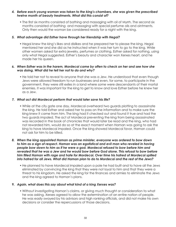- *4. Before each young woman was taken to the king's chambers, she was given the prescribed twelve month of beauty treatments. What did this consist of?*
	- The first six months consisted of bathing and massaging with oil of Myrrh. The second six months consisted of bathing and massaging with special perfume oils and ointments. Only then would the woman be considered ready for a night with the king.

### *5. What advantage did Esther have through her friendship with Hegai?*

• Hegai knew the king's likes and dislikes and he prepared her to please the king. Hegai mentored her and she did as he instructed when it was her turn to go to the king. While other women asked for extra jewelry, perfumes or clothing, Esther asked for nothing, using only what Hegai suggested. Esther's beauty and character won Xerxes heart, and he made her his queen.

#### *6. When Esther was in the harem, Mordecai came by often to check on her and see how she was doing. What did he tell her not to do and why?*

• He told her not to reveal to anyone that she was a Jew. He understood that even though Jews were allowed freedom to run businesses and even, for some, to participate in the government, they were still exiles in a land where some were descendants of their mortal enemies. It was important for the king to get to know and love Esther before he knew her as a Jew.

## *7. What act did Mordecai perform that would later save his life?*

- While at the city gate one day, Mordecai overheard two guards plotting to assassinate the king. He told Esther and asked her to pass on the information and to make sure the king knew it came from him. The king had it checked out and found it true and had the two guards impaled. The act of Mordecai preventing the king from being assassinated was recorded in the book of chronicles that would later be read and the king, who had not rewarded him, would do so at the exact moment when Haman was going to ask the king to have Mordecai impaled. Once the king showed Mordecai favor, Haman could not ask for him to be killed.
- *8. When the king appointed Haman as prime minister, everyone was ordered to bow down to him as a sign of respect. Haman was an egotistical and evil man who reveled in having people bow down to him as if he were a god. Mordecai refused to bow before him and revealed that he was a Jew and he would bow before God alone. This refusal to bow before him filled Haman with rage and hate for Mordecai. Over time his hatred of Mordecai spilled into hatred for all Jews. What did Haman plan to do to Mordecai and the rest of the Jews?*
	- He planned to have Mordecai impaled upon a pole he had built and to have all the Jews eliminated by convincing the king that they were not loyal to him and that they were a threat to his kingdom. He asked the king for the finances and armies to eliminate the Jews and the king agreed to Haman's plans.

#### *9. Again, what does this say about what kind of a king Xerxes was?*

• Without investigating Haman's claims, or giving much thought or consideration to what he was asking, Xerxes agreed to allow the extermination of an entire nation of people. He was easily swayed by his advisors and high ranking officials, and did not make his own decisions or consider the repercussions of those decisions.